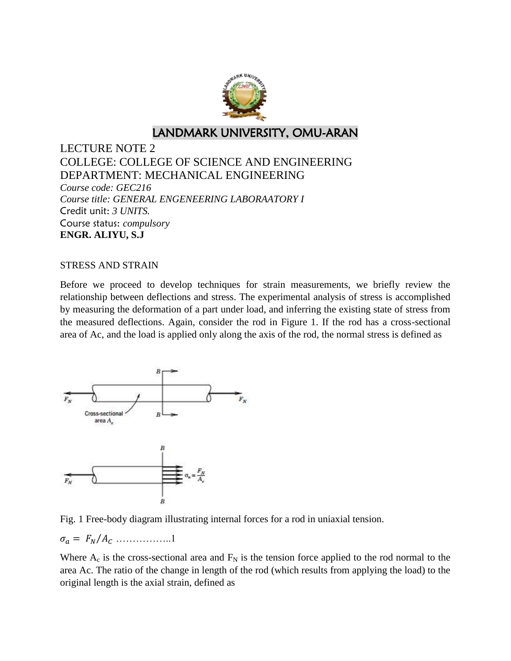

# LANDMARK UNIVERSITY, OMU-ARAN

LECTURE NOTE 2 COLLEGE: COLLEGE OF SCIENCE AND ENGINEERING DEPARTMENT: MECHANICAL ENGINEERING *Course code: GEC216 Course title: GENERAL ENGENEERING LABORAATORY I*  Credit unit: *3 UNITS.* Course status: *compulsory* **ENGR. ALIYU, S.J**

#### STRESS AND STRAIN

Before we proceed to develop techniques for strain measurements, we briefly review the relationship between deflections and stress. The experimental analysis of stress is accomplished by measuring the deformation of a part under load, and inferring the existing state of stress from the measured deflections. Again, consider the rod in Figure 1. If the rod has a cross-sectional area of Ac, and the load is applied only along the axis of the rod, the normal stress is defined as



Fig. 1 Free-body diagram illustrating internal forces for a rod in uniaxial tension.

 $\sigma_a = F_N/A_C \dots \dots \dots \dots \dots 1$ 

Where  $A_c$  is the cross-sectional area and  $F_N$  is the tension force applied to the rod normal to the area Ac. The ratio of the change in length of the rod (which results from applying the load) to the original length is the axial strain, defined as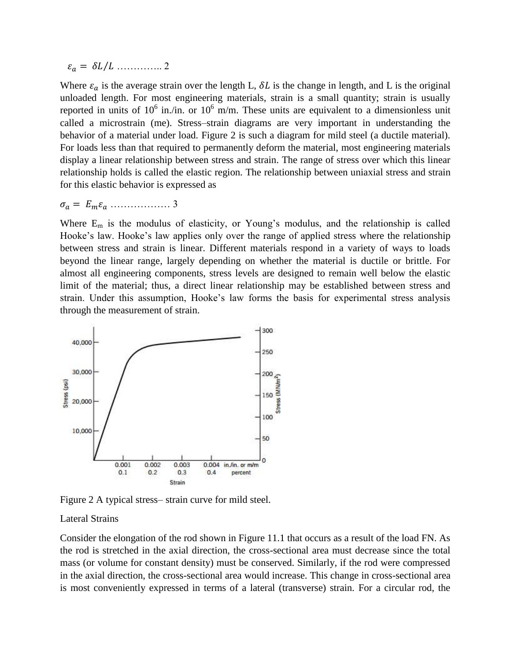⁄ ………….. 2

Where  $\varepsilon_a$  is the average strain over the length L,  $\delta L$  is the change in length, and L is the original unloaded length. For most engineering materials, strain is a small quantity; strain is usually reported in units of  $10^6$  in./in. or  $10^6$  m/m. These units are equivalent to a dimensionless unit called a microstrain (me). Stress–strain diagrams are very important in understanding the behavior of a material under load. Figure 2 is such a diagram for mild steel (a ductile material). For loads less than that required to permanently deform the material, most engineering materials display a linear relationship between stress and strain. The range of stress over which this linear relationship holds is called the elastic region. The relationship between uniaxial stress and strain for this elastic behavior is expressed as

 $\sigma_a = E_m \varepsilon_a \dots \dots \dots \dots \dots \dots$ 3

Where  $E_m$  is the modulus of elasticity, or Young's modulus, and the relationship is called Hooke's law. Hooke's law applies only over the range of applied stress where the relationship between stress and strain is linear. Different materials respond in a variety of ways to loads beyond the linear range, largely depending on whether the material is ductile or brittle. For almost all engineering components, stress levels are designed to remain well below the elastic limit of the material; thus, a direct linear relationship may be established between stress and strain. Under this assumption, Hooke's law forms the basis for experimental stress analysis through the measurement of strain.



Figure 2 A typical stress– strain curve for mild steel.

#### Lateral Strains

Consider the elongation of the rod shown in Figure 11.1 that occurs as a result of the load FN. As the rod is stretched in the axial direction, the cross-sectional area must decrease since the total mass (or volume for constant density) must be conserved. Similarly, if the rod were compressed in the axial direction, the cross-sectional area would increase. This change in cross-sectional area is most conveniently expressed in terms of a lateral (transverse) strain. For a circular rod, the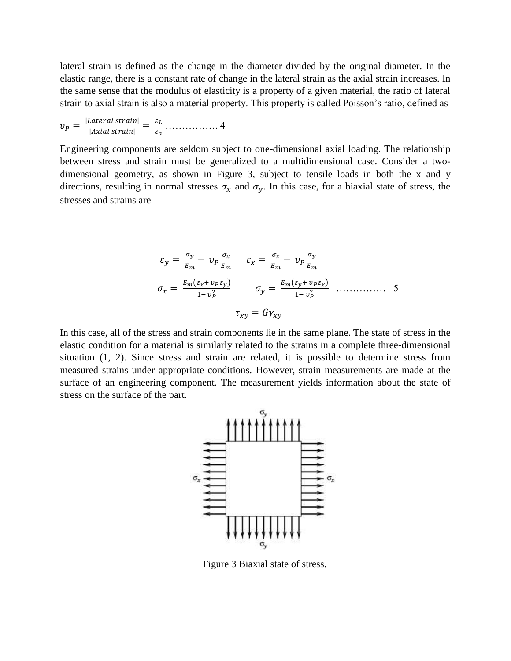lateral strain is defined as the change in the diameter divided by the original diameter. In the elastic range, there is a constant rate of change in the lateral strain as the axial strain increases. In the same sense that the modulus of elasticity is a property of a given material, the ratio of lateral strain to axial strain is also a material property. This property is called Poisson's ratio, defined as

 | | | | ……………. 4

Engineering components are seldom subject to one-dimensional axial loading. The relationship between stress and strain must be generalized to a multidimensional case. Consider a twodimensional geometry, as shown in Figure 3, subject to tensile loads in both the x and y directions, resulting in normal stresses  $\sigma_x$  and  $\sigma_y$ . In this case, for a biaxial state of stress, the stresses and strains are

$$
\varepsilon_{y} = \frac{\sigma_{y}}{E_{m}} - \nu_{p} \frac{\sigma_{x}}{E_{m}} \qquad \varepsilon_{x} = \frac{\sigma_{x}}{E_{m}} - \nu_{p} \frac{\sigma_{y}}{E_{m}}
$$
\n
$$
\sigma_{x} = \frac{E_{m}(\varepsilon_{x} + \nu_{p}\varepsilon_{y})}{1 - \nu_{p}^{2}} \qquad \sigma_{y} = \frac{E_{m}(\varepsilon_{y} + \nu_{p}\varepsilon_{x})}{1 - \nu_{p}^{2}} \qquad \dots \qquad \dots \qquad 5
$$
\n
$$
\tau_{x\gamma} = G\gamma_{x\gamma}
$$

In this case, all of the stress and strain components lie in the same plane. The state of stress in the elastic condition for a material is similarly related to the strains in a complete three-dimensional situation (1, 2). Since stress and strain are related, it is possible to determine stress from measured strains under appropriate conditions. However, strain measurements are made at the surface of an engineering component. The measurement yields information about the state of stress on the surface of the part.



Figure 3 Biaxial state of stress.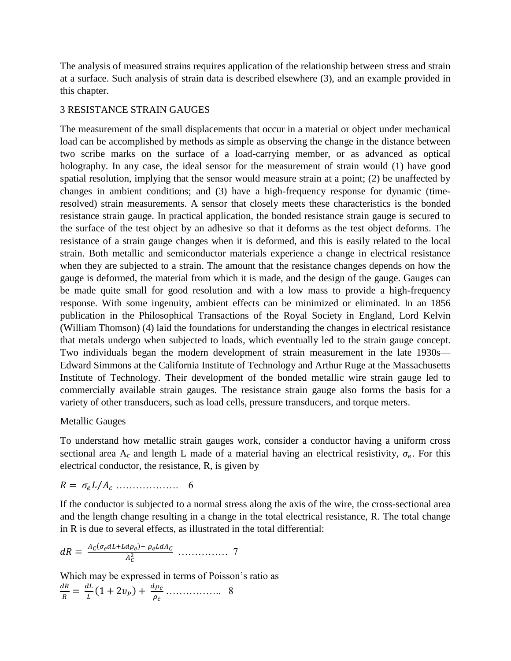The analysis of measured strains requires application of the relationship between stress and strain at a surface. Such analysis of strain data is described elsewhere (3), and an example provided in this chapter.

## 3 RESISTANCE STRAIN GAUGES

The measurement of the small displacements that occur in a material or object under mechanical load can be accomplished by methods as simple as observing the change in the distance between two scribe marks on the surface of a load-carrying member, or as advanced as optical holography. In any case, the ideal sensor for the measurement of strain would (1) have good spatial resolution, implying that the sensor would measure strain at a point; (2) be unaffected by changes in ambient conditions; and (3) have a high-frequency response for dynamic (timeresolved) strain measurements. A sensor that closely meets these characteristics is the bonded resistance strain gauge. In practical application, the bonded resistance strain gauge is secured to the surface of the test object by an adhesive so that it deforms as the test object deforms. The resistance of a strain gauge changes when it is deformed, and this is easily related to the local strain. Both metallic and semiconductor materials experience a change in electrical resistance when they are subjected to a strain. The amount that the resistance changes depends on how the gauge is deformed, the material from which it is made, and the design of the gauge. Gauges can be made quite small for good resolution and with a low mass to provide a high-frequency response. With some ingenuity, ambient effects can be minimized or eliminated. In an 1856 publication in the Philosophical Transactions of the Royal Society in England, Lord Kelvin (William Thomson) (4) laid the foundations for understanding the changes in electrical resistance that metals undergo when subjected to loads, which eventually led to the strain gauge concept. Two individuals began the modern development of strain measurement in the late 1930s— Edward Simmons at the California Institute of Technology and Arthur Ruge at the Massachusetts Institute of Technology. Their development of the bonded metallic wire strain gauge led to commercially available strain gauges. The resistance strain gauge also forms the basis for a variety of other transducers, such as load cells, pressure transducers, and torque meters.

#### Metallic Gauges

To understand how metallic strain gauges work, consider a conductor having a uniform cross sectional area A<sub>c</sub> and length L made of a material having an electrical resistivity,  $\sigma_e$ . For this electrical conductor, the resistance, R, is given by

$$
R = \sigma_e L / A_c \dots \dots \dots \dots \dots \dots \quad 6
$$

If the conductor is subjected to a normal stress along the axis of the wire, the cross-sectional area and the length change resulting in a change in the total electrical resistance, R. The total change in R is due to several effects, as illustrated in the total differential:

$$
dR = \frac{A_C(\sigma_e dL + L d\rho_e) - \rho_e L dA_C}{A_C^2} \dots \dots \dots \dots \dots \quad 7
$$

Which may be expressed in terms of Poisson's ratio as

$$
\frac{dR}{R} = \frac{dL}{L}(1+2v_P) + \frac{d\rho_e}{\rho_e} \dots \dots \dots \dots \dots \dots \quad 8
$$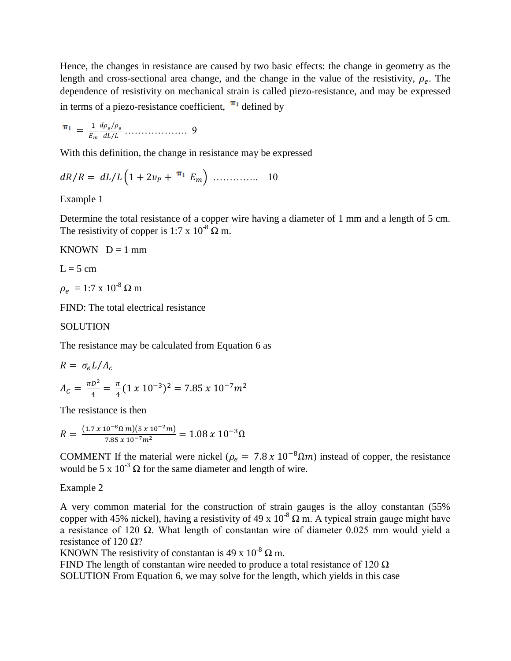Hence, the changes in resistance are caused by two basic effects: the change in geometry as the length and cross-sectional area change, and the change in the value of the resistivity,  $\rho_e$ . The dependence of resistivity on mechanical strain is called piezo-resistance, and may be expressed in terms of a piezo-resistance coefficient,  $\pi_1$  defined by

$$
\mathbf{\pi}_1 = \frac{1}{E_m} \frac{d\rho_e/\rho_e}{dL/L} \dots \dots \dots \dots \dots \dots \dots \quad 9
$$

With this definition, the change in resistance may be expressed

$$
dR/R = dL/L \left(1 + 2v_P + \frac{\pi_1}{2} E_m\right) \dots \dots \dots \dots \dots \quad 10
$$

## Example 1

Determine the total resistance of a copper wire having a diameter of 1 mm and a length of 5 cm. The resistivity of copper is 1:7 x  $10^{-8}$   $\Omega$  m.

KNOWN  $D = 1$  mm

$$
L = 5 \, \text{cm}
$$

 $\rho_e\ = 1:7\ \text{x}\ 10^{\text{-}8}\ \Omega$  m

FIND: The total electrical resistance

### **SOLUTION**

The resistance may be calculated from Equation 6 as

$$
R = \sigma_e L / A_c
$$
  

$$
A_c = \frac{\pi D^2}{4} = \frac{\pi}{4} (1 \times 10^{-3})^2 = 7.85 \times 10^{-7} m^2
$$

The resistance is then

$$
R = \frac{(1.7 \times 10^{-8} \Omega \, m)(5 \times 10^{-2} m)}{7.85 \times 10^{-7} m^2} = 1.08 \times 10^{-3} \Omega
$$

COMMENT If the material were nickel ( $\rho_e = 7.8 \times 10^{-8} \Omega m$ ) instead of copper, the resistance would be 5 x  $10^{-3} \Omega$  for the same diameter and length of wire.

#### Example 2

A very common material for the construction of strain gauges is the alloy constantan (55% copper with 45% nickel), having a resistivity of 49 x  $10^{-8} \Omega$  m. A typical strain gauge might have a resistance of 120  $\Omega$ . What length of constantan wire of diameter 0.025 mm would yield a resistance of 120  $\Omega$ ?

KNOWN The resistivity of constantan is 49 x  $10^{-8} \Omega$  m.

FIND The length of constantan wire needed to produce a total resistance of  $120 \Omega$ 

SOLUTION From Equation 6, we may solve for the length, which yields in this case